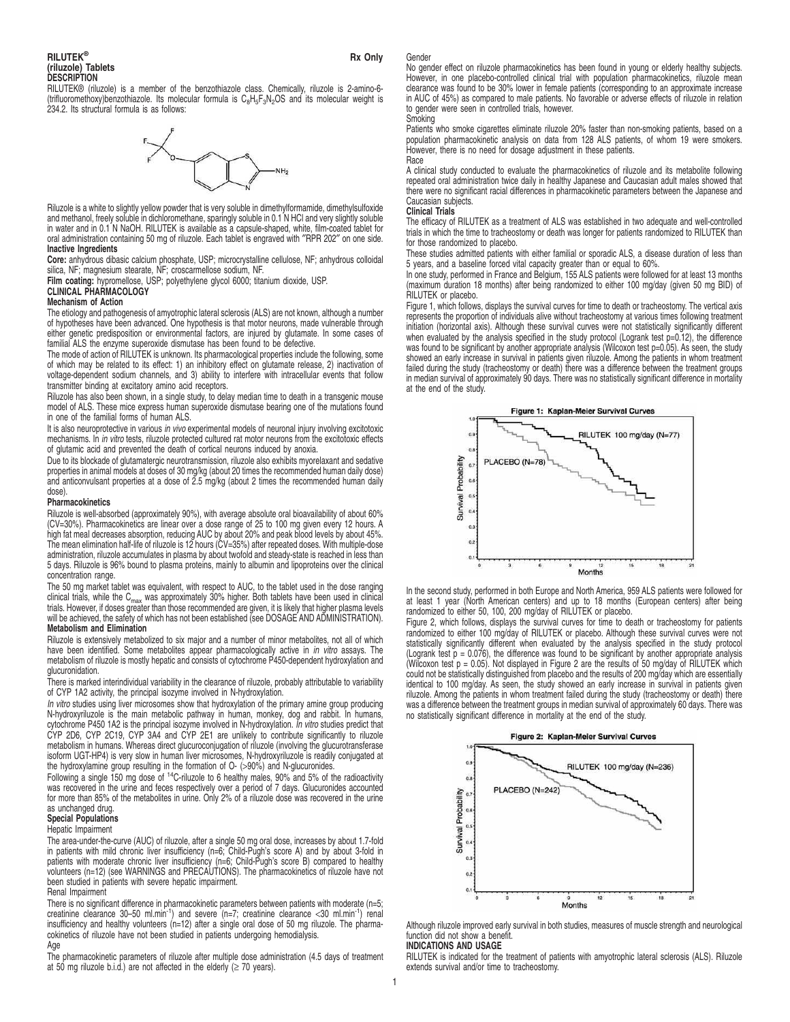# **RILUTEK® Rx Only (riluzole) Tablets DESCRIPTION**

RILUTEK® (riluzole) is a member of the benzothiazole class. Chemically, riluzole is 2-amino-6-  $(\text{trifluoromethoxy})$ benzothiazole. Its molecular formula is  $C_8H_5F_3N_2OS$  and its molecular weight is 234.2. Its structural formula is as follows:



Riluzole is a white to slightly yellow powder that is very soluble in dimethylformamide, dimethylsulfoxide and methanol, freely soluble in dichloromethane, sparingly soluble in 0.1 N HCl and very slightly soluble in water and in 0.1 N NaOH. RILUTEK is available as a capsule-shaped, white, film-coated tablet for oral administration containing 50 mg of riluzole. Each tablet is engraved with ″RPR 202″ on one side. **Inactive Ingredients**

**Core:** anhydrous dibasic calcium phosphate, USP; microcrystalline cellulose, NF; anhydrous colloidal silica, NF; magnesium stearate, NF; croscarmellose sodium, NF.

**Film coating:** hypromellose, USP; polyethylene glycol 6000; titanium dioxide, USP.

### **CLINICAL PHARMACOLOGY**

#### **Mechanism of Action**

The etiology and pathogenesis of amyotrophic lateral sclerosis (ALS) are not known, although a number of hypotheses have been advanced. One hypothesis is that motor neurons, made vulnerable through either genetic predisposition or environmental factors, are injured by glutamate. In some cases of familial ALS the enzyme superoxide dismutase has been found to be defective.

The mode of action of RILUTEK is unknown. Its pharmacological properties include the following, some of which may be related to its effect: 1) an inhibitory effect on glutamate release, 2) inactivation of voltage-dependent sodium channels, and 3) ability to interfere with intracellular events that follow transmitter binding at excitatory amino acid receptors.

Riluzole has also been shown, in a single study, to delay median time to death in a transgenic mouse model of ALS. These mice express human superoxide dismutase bearing one of the mutations found in one of the familial forms of human ALS.

It is also neuroprotective in various in vivo experimental models of neuronal injury involving excitotoxic mechanisms. In in vitro tests, riluzole protected cultured rat motor neurons from the excitotoxic effects of glutamic acid and prevented the death of cortical neurons induced by anoxia.

Due to its blockade of glutamatergic neurotransmission, riluzole also exhibits myorelaxant and sedative<br>properties in animal models at doses of 30 mg/kg (about 20 times the recommended human daily dose)<br>and anticonvulsant dose).

#### **Pharmacokinetics**

Riluzole is well-absorbed (approximately 90%), with average absolute oral bioavailability of about 60% (CV=30%). Pharmacokinetics are linear over a dose range of 25 to 100 mg given every 12 hours. A high fat meal decreases absorption, reducing AUC by about 20% and peak blood levels by about 45%. The mean elimination half-life of riluzole is 12 hours (CV=35%) after repeated doses. With multiple-dose administration, riluzole accumulates in plasma by about twofold and steady-state is reached in less than 5 days. Riluzole is 96% bound to plasma proteins, mainly to albumin and lipoproteins over the clinical concentration range.

The 50 mg market tablet was equivalent, with respect to AUC, to the tablet used in the dose ranging clinical trials, while the C<sub>max</sub> was approximately 30% higher. Both tablets have been used in clinical<br>trials. However, if doses greater than those recommended are given, it is likely that higher plasma levels<br>will be ach **Metabolism and Elimination**

Riluzole is extensively metabolized to six major and a number of minor metabolites, not all of which have been identified. Some metabolites appear pharmacologically active in in vitro assays. The metabolism of riluzole is mostly hepatic and consists of cytochrome P450-dependent hydroxylation and glucuronidation.

There is marked interindividual variability in the clearance of riluzole, probably attributable to variability of CYP 1A2 activity, the principal isozyme involved in N-hydroxylation.

In vitro studies using liver microsomes show that hydroxylation of the primary amine group producing N-hydroxyriluzole is the main metabolic pathway in human, monkey, dog and rabbit. In humans, cytochrome P450 1A2 is the principal isozyme involved in N-hydroxylation. *In vitro* studies predict that<br>CYP 2D6, CYP 2C19, CYP 3A4 and CYP 2E1 are unlikely to contribute significantly to riluzole metabolism in humans. Whereas direct glucuroconjugation of riluzole (involving the glucurotransferase isoform UGT-HP4) is very slow in human liver microsomes, N-hydroxyriluzole is readily conjugated at the hydroxylamine group resulting in the formation of O- (>90%) and N-glucuronides.

Following a single 150 mg dose of <sup>14</sup>C-riluzole to 6 healthy males, 90% and 5% of the radioactivity was recovered in the urine and feces respectively over a period of 7 days. Glucuronides accounted for more than 85% of the metabolites in urine. Only 2% of a riluzole dose was recovered in the urine as unchanged drug.

#### **Special Populations**

#### Hepatic Impairment

The area-under-the-curve (AUC) of riluzole, after a single 50 mg oral dose, increases by about 1.7-fold in patients with mild chronic liver insufficiency (n=6; Child-Pugh's score A) and by about 3-fold in patients with moderate chronic liver insufficiency (n=6; Child-Pugh's score B) compared to healthy volunteers (n=12) (see WARNINGS and PRECAUTIONS). The pharmacokinetics of riluzole have not been studied in patients with severe hepatic impairment.

#### Renal Impairment

There is no significant difference in pharmacokinetic parameters between patients with moderate (n=5; creatinine clearance 30–50 ml.min<sup>-1</sup>) and severe (n=7; creatinine clearance <30 ml.min<sup>-1</sup>) renal<br>insufficiency and healthy volunteers (n=12) after a single oral dose of 50 mg riluzole. The pharma-<br>cokinetics of riluzole Age

The pharmacokinetic parameters of riluzole after multiple dose administration (4.5 days of treatment at 50 mg riluzole b.i.d.) are not affected in the elderly ( $\geq$  70 years).

#### Gender

No gender effect on riluzole pharmacokinetics has been found in young or elderly healthy subjects. However, in one placebo-controlled clinical trial with population pharmacokinetics, riluzole mean clearance was found to be 30% lower in female patients (corresponding to an approximate increase in AUC of 45%) as compared to male patients. No favorable or adverse effects of riluzole in relation to gender were seen in controlled trials, however.

# Smoking

Patients who smoke cigarettes eliminate riluzole 20% faster than non-smoking patients, based on a population pharmacokinetic analysis on data from 128 ALS patients, of whom 19 were smokers. However, there is no need for dosage adjustment in these patients. Race

A clinical study conducted to evaluate the pharmacokinetics of riluzole and its metabolite following repeated oral administration twice daily in healthy Japanese and Caucasian adult males showed that there were no significant racial differences in pharmacokinetic parameters between the Japanese and Caucasian subjects.

# **Clinical Trials**

The efficacy of RILUTEK as a treatment of ALS was established in two adequate and well-controlled trials in which the time to tracheostomy or death was longer for patients randomized to RILUTEK than for those randomized to placebo.

These studies admitted patients with either familial or sporadic ALS, a disease duration of less than 5 years, and a baseline forced vital capacity greater than or equal to 60%.

In one study, performed in France and Belgium, 155 ALS patients were followed for at least 13 months (maximum duration 18 months) after being randomized to either 100 mg/day (given 50 mg BID) of RILUTEK or placebo.

Figure 1, which follows, displays the survival curves for time to death or tracheostomy. The vertical axis represents the proportion of individuals alive without tracheostomy at various times following treatment initiation (horizontal axis). Although these survival curves were not statistically significantly different when evaluated by the analysis specified in the study protocol (Logrank test  $p=0.12$ ), the difference was found to be significant by another appropriate analysis (Wilcoxon test p=0.05). As seen, the study showed an early increase in survival in patients given riluzole. Among the patients in whom treatment failed during the study (tracheostomy or death) there was a difference between the treatment groups in median survival of approximately 90 days. There was no statistically significant difference in mortality at the end of the study.



In the second study, performed in both Europe and North America, 959 ALS patients were followed for at least 1 year (North American centers) and up to 18 months (European centers) after being randomized to either 50, 100, 200 mg/day of RILUTEK or placebo.

Figure 2, which follows, displays the survival curves for time to death or tracheostomy for patients randomized to either 100 mg/day of RILUTEK or placebo. Although these survival curves were not statistically significantly different when evaluated by the analysis specified in the study protocol (Logrank test  $p = 0.076$ ), the difference was found to be significant by another appropriate analysis (Wilcoxon test  $p = 0.05$ ). Not displayed in Figure 2 are the results of 50 mg/day of RILUTEK which could not be statistically distinguished from placebo and the results of 200 mg/day which are essentially identical to 100 mg/day. As seen, the study showed an early increase in survival in patients given riluzole. Among the patients in whom treatment failed during the study (tracheostomy or death) there was a difference between the treatment groups in median survival of approximately 60 days. There was no statistically significant difference in mortality at the end of the study.



Although riluzole improved early survival in both studies, measures of muscle strength and neurological function did not show a benefit.

#### **INDICATIONS AND USAGE**

RILUTEK is indicated for the treatment of patients with amyotrophic lateral sclerosis (ALS). Riluzole extends survival and/or time to tracheostomy.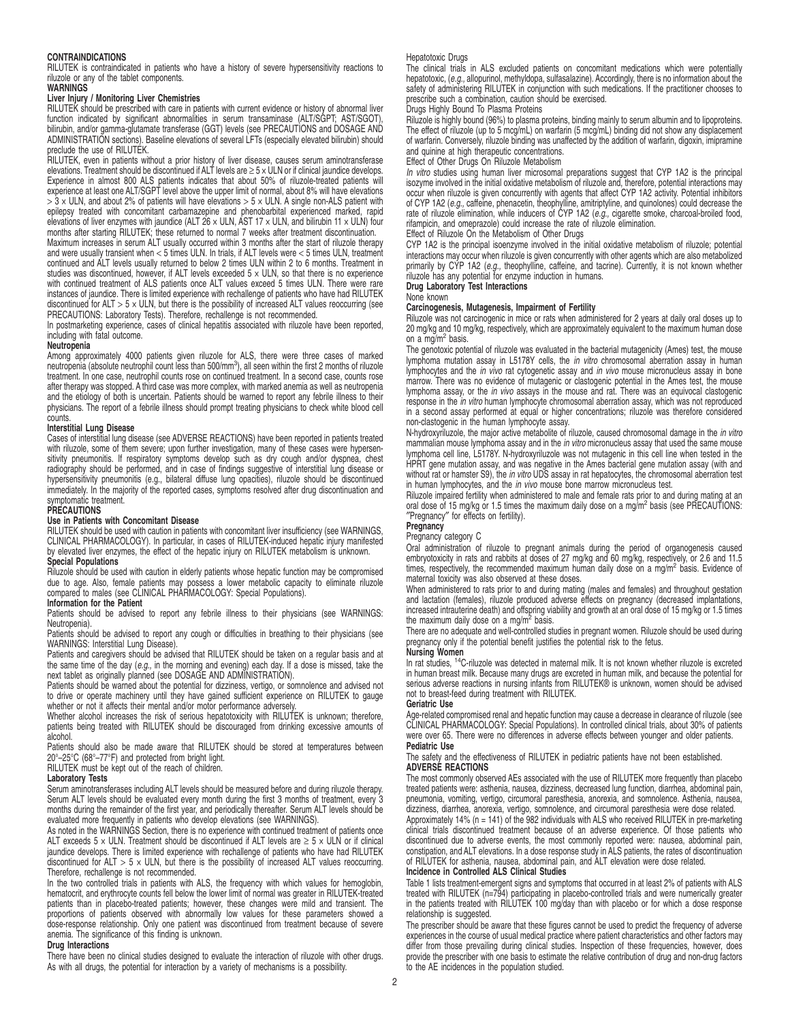# **CONTRAINDICATIONS**

RILUTEK is contraindicated in patients who have a history of severe hypersensitivity reactions to riluzole or any of the tablet components.

#### **WARNINGS**

# **Liver Injury / Monitoring Liver Chemistries**

RILUTEK should be prescribed with care in patients with current evidence or history of abnormal liver function indicated by significant abnormalities in serum transaminase (ALT/SGPT; AST/SGOT), bilirubin, and/or gamma-glutamate transferase (GGT) levels (see PRECAUTIONS and DOSAGE AND ADMINISTRATION sections). Baseline elevations of several LFTs (especially elevated bilirubin) should preclude the use of RILUTEK.

RILUTEK, even in patients without a prior history of liver disease, causes serum aminotransferase elevations. Treatment should be discontinued if ALT levels are  $\geq$  5 x ULN or if clinical jaundice develops. Experience in almost 800 ALS patients indicates that about 50% of riluzole-treated patients will experience at least one ALT/SGPT level above the upper limit of normal, about 8% will have elevations  $> 3 \times$  ULN, and about 2% of patients will have elevations  $> 5 \times$  ULN. A single non-ALS patient with epilepsy treated with concomitant carbamazepine and phenobarbital experienced marked, rapid elevations of liver enzymes with jaundice (ALT 26 × ULN, AST 17 × ULN, and bilirubin 11 × ULN) four

months after starting RILUTEK; these returned to normal 7 weeks after treatment discontinuation. Maximum increases in serum ALT usually occurred within 3 months after the start of riluzole therapy and were usually transient when < 5 times ULN. In trials, if ALT levels were < 5 times ULN, treatment continued and ALT levels usually returned to below 2 times ULN within 2 to 6 months. Treatment in studies was discontinued, however, if ALT levels exceeded 5 × ULN, so that there is no experience with continued treatment of ALS patients once ALT values exceed 5 times ULN. There were rare instances of jaundice. There is limited experience with rechallenge of patients who have had RILUTEK discontinued for ALT > 5 x ULN, but there is the possibility of increased ALT values reoccurring (see

PRECAUTIONS: Laboratory Tests). Therefore, rechallenge is not recommended. In postmarketing experience, cases of clinical hepatitis associated with riluzole have been reported, including with fatal outcome.

#### **Neutropenia**

Among approximately 4000 patients given riluzole for ALS, there were three cases of marked neutropenia (absolute neutrophil count less than 500/mm<sup>3</sup> ), all seen within the first 2 months of riluzole treatment. In one case, neutrophil counts rose on continued treatment. In a second case, counts rose after therapy was stopped. A third case was more complex, with marked anemia as well as neutropenia and the etiology of both is uncertain. Patients should be warned to report any febrile illness to their physicians. The report of a febrile illness should prompt treating physicians to check white blood cell counts.

# **Interstitial Lung Disease**

Cases of interstitial lung disease (see ADVERSE REACTIONS) have been reported in patients treated with riluzole, some of them severe; upon further investigation, many of these cases were hypersensitivity pneumonitis. If respiratory symptoms develop such as dry cough and/or dyspnea, chest radiography should be performed, and in case of findings suggestive of interstitial lung disease or hypersensitivity pneumonitis (e.g., bilateral diffuse lung opacities), riluzole should be discontinued immediately. In the majority of the reported cases, symptoms resolved after drug discontinuation and symptomatic treatment.

# **PRECAUTIONS**

#### **Use in Patients with Concomitant Disease**

RILUTEK should be used with caution in patients with concomitant liver insufficiency (see WARNINGS, CLINICAL PHARMACOLOGY). In particular, in cases of RILUTEK-induced hepatic injury manifested by elevated liver enzymes, the effect of the hepatic injury on RILUTEK metabolism is unknown.

# **Special Populations**

Riluzole should be used with caution in elderly patients whose hepatic function may be compromised due to age. Also, female patients may possess a lower metabolic capacity to eliminate riluzole compared to males (see CLINICAL PHARMACOLOGY: Special Populations).

#### **Information for the Patient**

Patients should be advised to report any febrile illness to their physicians (see WARNINGS: Neutropenia).

Patients should be advised to report any cough or difficulties in breathing to their physicians (see WARNINGS: Interstitial Lung Disease).

Patients and caregivers should be advised that RILUTEK should be taken on a regular basis and at the same time of the day (e.g., in the morning and evening) each day. If a dose is missed, take the next tablet as originally planned (see DOSAGE AND ADMINISTRATION).

Patients should be warned about the potential for dizziness, vertigo, or somnolence and advised not to drive or operate machinery until they have gained sufficient experience on RILUTEK to gauge whether or not it affects their mental and/or motor performance adversely.

Whether alcohol increases the risk of serious hepatotoxicity with RILUTEK is unknown; therefore, patients being treated with RILUTEK should be discouraged from drinking excessive amounts of alcohol.

Patients should also be made aware that RILUTEK should be stored at temperatures between 20°–25°C (68°–77°F) and protected from bright light.

RILUTEK must be kept out of the reach of children.

# **Laboratory Tests**

Serum aminotransferases including ALT levels should be measured before and during riluzole therapy. Serum ALT levels should be evaluated every month during the first 3 months of treatment, every 3 months during the remainder of the first year, and periodically thereafter. Serum ALT levels should be evaluated more frequently in patients who develop elevations (see WARNINGS).

As noted in the WARNINGS Section, there is no experience with continued treatment of patients once ALT exceeds 5  $\times$  ULN. Treatment should be discontinued if ALT levels are  $\geq$  5  $\times$  ULN or if clinical jaundice develops. There is limited experience with rechallenge of patients who have had RILUTEK discontinued for  $ALT > 5 \times ULN$ , but there is the possibility of increased ALT values reoccurring. Therefore, rechallenge is not recommended.

In the two controlled trials in patients with ALS, the frequency with which values for hemoglobin, hematocrit, and erythrocyte counts fell below the lower limit of normal was greater in RILUTEK-treated patients than in placebo-treated patients; however, these changes were mild and transient. The proportions of patients observed with abnormally low values for these parameters showed a dose-response relationship. Only one patient was discontinued from treatment because of severe anemia. The significance of this finding is unknown.

### **Drug Interactions**

There have been no clinical studies designed to evaluate the interaction of riluzole with other drugs. As with all drugs, the potential for interaction by a variety of mechanisms is a possibility.

# Hepatotoxic Drugs

The clinical trials in ALS excluded patients on concomitant medications which were potentially hepatotoxic, (e.g., allopurinol, methyldopa, sulfasalazine). Accordingly, there is no information about the safety of administering RILUTEK in conjunction with such medications. If the practitioner chooses to prescribe such a combination, caution should be exercised.

#### Drugs Highly Bound To Plasma Proteins

Riluzole is highly bound (96%) to plasma proteins, binding mainly to serum albumin and to lipoproteins.<br>The effect of riluzole (up to 5 mcg/mL) on warfarin (5 mcg/mL) binding did not show any displacement<br>of warfarin. Conv and quinine at high therapeutic concentrations.

Effect of Other Drugs On Riluzole Metabolism

In vitro studies using human liver microsomal preparations suggest that CYP 1A2 is the principal<br>isozyme involved in the initial oxidative metabolism of riluzole and, therefore, potential interactions may occur when riluzole is given concurrently with agents that affect CYP 1A2 activity. Potential inhibitors of CYP 1A2 (*e.g.,* caffeine, phenacetin, theophylline, amitriptyline, and quinolones) could decrease the<br>rate of riluzole elimination, while inducers of CYP 1A2 (*e.g.,* cigarette smoke, charcoal-broiled food, rifampicin, and omeprazole) could increase the rate of riluzole elimination.

Effect of Riluzole On the Metabolism of Other Drugs

CYP 1A2 is the principal isoenzyme involved in the initial oxidative metabolism of riluzole; potential interactions may occur when riluzole is given concurrently with other agents which are also metabolized<br>primarily by CYP 1A2 (*e.g.*, theophylline, caffeine, and tacrine). Currently, it is not known whether<br>riluzole has an

#### **Drug Laboratory Test Interactions** None known

### **Carcinogenesis, Mutagenesis, Impairment of Fertility**

Riluzole was not carcinogenic in mice or rats when administered for 2 years at daily oral doses up to 20 mg/kg and 10 mg/kg, respectively, which are approximately equivalent to the maximum human dose on a mg/m<sup>2</sup> basis.

The genotoxic potential of riluzole was evaluated in the bacterial mutagenicity (Ames) test, the mouse lymphoma mutation assay in L5178Y cells, the *in vitro* chromosomal aberration assay in human lymphocytes and the in vivo rat cytogenetic assay and in vivo mouse micronucleus assay in bone marrow. There was no evidence of mutagenic or clastogenic potential in the Ames test, the mouse lymphoma assay, or the in vivo assays in the mouse and rat. There was an equivocal clastogenic response in the in vitro human lymphocyte chromosomal aberration assay, which was not reproduced in a second assay performed at equal or higher concentrations; riluzole was therefore considered non-clastogenic in the human lymphocyte assay.

N-hydroxyriluzole, the major active metabolite of riluzole, caused chromosomal damage in the in vitro mammalian mouse lymphoma assay and in the *in vitro* micronucleus assay that used the same mouse lymphoma cell line, L5178Y. N-hydroxyriluzole was not mutagenic in this cell line when tested in the HPRT gene mutation assay, and was negative in the Ames bacterial gene mutation assay (with and without rat or hamster S9), the *in vitro* UDS assay in rat hepatocytes, the chromosomal aberration test<br>in human lymphocytes, and the *in vivo* mouse bone marrow micronucleus test.

Riluzole impaired fertility when administered to male and female rats prior to and during mating at an<br>oral dose of 15 mg/kg or 1.5 times the maximum daily dose on a mg/m<sup>2</sup> basis (see PRECAUTIONS: ″Pregnancy″ for effects on fertility).

# **Pregnancy**

# Pregnancy category C

Oral administration of riluzole to pregnant animals during the period of organogenesis caused embryotoxicity in rats and rabbits at doses of 27 mg/kg and 60 mg/kg, respectively, or 2.6 and 11.5 times, respectively, the recommended maximum human daily dose on a mg/m<sup>2</sup> basis. Evidence of maternal toxicity was also observed at these doses.

When administered to rats prior to and during mating (males and females) and throughout gestation and lactation (females), riluzole produced adverse effects on pregnancy (decreased implantations, increased intrauterine death) and offspring viability and growth at an oral dose of 15 mg/kg or 1.5 times the maximum daily dose on a mg/m<sup>2</sup> basis.

There are no adequate and well-controlled studies in pregnant women. Riluzole should be used during pregnancy only if the potential benefit justifies the potential risk to the fetus.

# **Nursing Women**

In rat studies, <sup>14</sup>C-riluzole was detected in maternal milk. It is not known whether riluzole is excreted in human breast milk. Because many drugs are excreted in human milk, and because the potential for serious adverse reactions in nursing infants from RILUTEK® is unknown, women should be advised not to breast-feed during treatment with RILUTEK.

#### **Geriatric Use**

Age-related compromised renal and hepatic function may cause a decrease in clearance of riluzole (see CLINICAL PHARMACOLOGY: Special Populations). In controlled clinical trials, about 30% of patients were over 65. There were no differences in adverse effects between younger and older patients. **Pediatric Use**

The safety and the effectiveness of RILUTEK in pediatric patients have not been established. **ADVERSE REACTIONS**

The most commonly observed AEs associated with the use of RILUTEK more frequently than placebo treated patients were: asthenia, nausea, dizziness, decreased lung function, diarrhea, abdominal pain, pneumonia, vomiting, vertigo, circumoral paresthesia, anorexia, and somnolence. Asthenia, nausea, dizziness, diarrhea, anorexia, vertigo, somnolence, and circumoral paresthesia were dose related. Approximately 14% (n = 141) of the 982 individuals with ALS who received RILUTEK in pre-marketing clinical trials discontinued treatment because of an adverse experience. Of those patients who discontinued due to adverse events, the most commonly reported were: nausea, abdominal pain, constipation, and ALT elevations. In a dose response study in ALS patients, the rates of discontinuation of RILUTEK for asthenia, nausea, abdominal pain, and ALT elevation were dose related.

# **Incidence in Controlled ALS Clinical Studies**

Table 1 lists treatment-emergent signs and symptoms that occurred in at least 2% of patients with ALS treated with RILUTEK (n=794) participating in placebo-controlled trials and were numerically greater in the patients treated with RILUTEK 100 mg/day than with placebo or for which a dose response relationship is suggested.

The prescriber should be aware that these figures cannot be used to predict the frequency of adverse experiences in the course of usual medical practice where patient characteristics and other factors may differ from those prevailing during clinical studies. Inspection of these frequencies, however, does provide the prescriber with one basis to estimate the relative contribution of drug and non-drug factors to the AE incidences in the population studied.